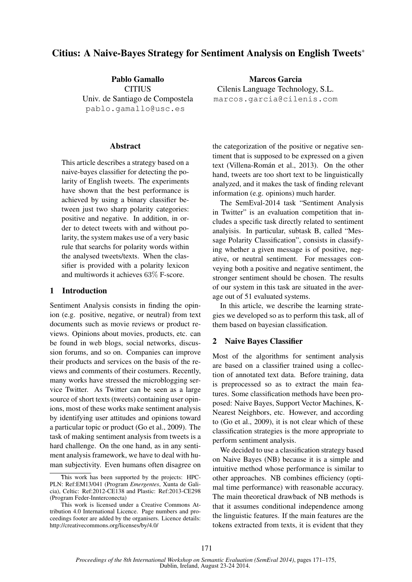# Citius: A Naive-Bayes Strategy for Sentiment Analysis on English Tweets<sup>∗</sup>

Pablo Gamallo **CITIUS** Univ. de Santiago de Compostela pablo.gamallo@usc.es

#### **Abstract**

This article describes a strategy based on a naive-bayes classifier for detecting the polarity of English tweets. The experiments have shown that the best performance is achieved by using a binary classifier between just two sharp polarity categories: positive and negative. In addition, in order to detect tweets with and without polarity, the system makes use of a very basic rule that searchs for polarity words within the analysed tweets/texts. When the classifier is provided with a polarity lexicon and multiwords it achieves 63% F-score.

#### 1 Introduction

Sentiment Analysis consists in finding the opinion (e.g. positive, negative, or neutral) from text documents such as movie reviews or product reviews. Opinions about movies, products, etc. can be found in web blogs, social networks, discussion forums, and so on. Companies can improve their products and services on the basis of the reviews and comments of their costumers. Recently, many works have stressed the microblogging service Twitter. As Twitter can be seen as a large source of short texts (tweets) containing user opinions, most of these works make sentiment analysis by identifying user attitudes and opinions toward a particular topic or product (Go et al., 2009). The task of making sentiment analysis from tweets is a hard challenge. On the one hand, as in any sentiment analysis framework, we have to deal with human subjectivity. Even humans often disagree on

Marcos Garcia Cilenis Language Technology, S.L. marcos.garcia@cilenis.com

the categorization of the positive or negative sentiment that is supposed to be expressed on a given text (Villena-Román et al., 2013). On the other hand, tweets are too short text to be linguistically analyzed, and it makes the task of finding relevant information (e.g. opinions) much harder.

The SemEval-2014 task "Sentiment Analysis in Twitter" is an evaluation competition that includes a specific task directly related to sentiment analyisis. In particular, subtask B, called "Message Polarity Classification", consists in classifying whether a given message is of positive, negative, or neutral sentiment. For messages conveying both a positive and negative sentiment, the stronger sentiment should be chosen. The results of our system in this task are situated in the average out of 51 evaluated systems.

In this article, we describe the learning strategies we developed so as to perform this task, all of them based on bayesian classification.

#### 2 Naive Bayes Classifier

Most of the algorithms for sentiment analysis are based on a classifier trained using a collection of annotated text data. Before training, data is preprocessed so as to extract the main features. Some classification methods have been proposed: Naive Bayes, Support Vector Machines, K-Nearest Neighbors, etc. However, and according to (Go et al., 2009), it is not clear which of these classification strategies is the more appropriate to perform sentiment analysis.

We decided to use a classification strategy based on Naive Bayes (NB) because it is a simple and intuitive method whose performance is similar to other approaches. NB combines efficiency (optimal time performance) with reasonable accuracy. The main theoretical drawback of NB methods is that it assumes conditional independence among the linguistic features. If the main features are the tokens extracted from texts, it is evident that they

This work has been supported by the projects: HPC-PLN: Ref:EM13/041 (Program *Emergentes*, Xunta de Galicia), Celtic: Ref:2012-CE138 and Plastic: Ref:2013-CE298 (Program Feder-Innterconecta)

This work is licensed under a Creative Commons Attribution 4.0 International Licence. Page numbers and proceedings footer are added by the organisers. Licence details: http://creativecommons.org/licenses/by/4.0/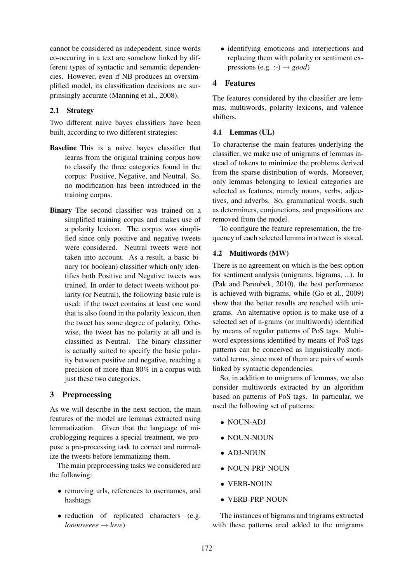cannot be considered as independent, since words co-occuring in a text are somehow linked by different types of syntactic and semantic dependencies. However, even if NB produces an oversimplified model, its classification decisions are surprinsingly accurate (Manning et al., 2008).

### 2.1 Strategy

Two different naive bayes classifiers have been built, according to two different strategies:

- Baseline This is a naive bayes classifier that learns from the original training corpus how to classify the three categories found in the corpus: Positive, Negative, and Neutral. So, no modification has been introduced in the training corpus.
- Binary The second classifier was trained on a simplified training corpus and makes use of a polarity lexicon. The corpus was simplified since only positive and negative tweets were considered. Neutral tweets were not taken into account. As a result, a basic binary (or boolean) classifier which only identifies both Positive and Negative tweets was trained. In order to detect tweets without polarity (or Neutral), the following basic rule is used: if the tweet contains at least one word that is also found in the polarity lexicon, then the tweet has some degree of polarity. Othewise, the tweet has no polarity at all and is classified as Neutral. The binary classifier is actually suited to specify the basic polarity between positive and negative, reaching a precision of more than 80% in a corpus with just these two categories.

## 3 Preprocessing

As we will describe in the next section, the main features of the model are lemmas extracted using lemmatization. Given that the language of microblogging requires a special treatment, we propose a pre-processing task to correct and normalize the tweets before lemmatizing them.

The main preprocessing tasks we considered are the following:

- removing urls, references to usernames, and hashtags
- reduction of replicated characters (e.g. *looooveeee* → *love*)

• identifying emoticons and interjections and replacing them with polarity or sentiment expressions (e.g. :-)  $\rightarrow$  *good*)

# 4 Features

The features considered by the classifier are lemmas, multiwords, polarity lexicons, and valence shifters.

## 4.1 Lemmas (UL)

To characterise the main features underlying the classifier, we make use of unigrams of lemmas instead of tokens to minimize the problems derived from the sparse distribution of words. Moreover, only lemmas belonging to lexical categories are selected as features, namely nouns, verbs, adjectives, and adverbs. So, grammatical words, such as determiners, conjunctions, and prepositions are removed from the model.

To configure the feature representation, the frequency of each selected lemma in a tweet is stored.

#### 4.2 Multiwords (MW)

There is no agreement on which is the best option for sentiment analysis (unigrams, bigrams, ...). In (Pak and Paroubek, 2010), the best performance is achieved with bigrams, while (Go et al., 2009) show that the better results are reached with unigrams. An alternative option is to make use of a selected set of n-grams (or multiwords) identified by means of regular patterns of PoS tags. Multiword expressions identified by means of PoS tags patterns can be conceived as linguistically motivated terms, since most of them are pairs of words linked by syntactic dependencies.

So, in addition to unigrams of lemmas, we also consider multiwords extracted by an algorithm based on patterns of PoS tags. In particular, we used the following set of patterns:

- NOUN-ADJ
- NOUN-NOUN
- ADJ-NOUN
- NOUN-PRP-NOUN
- VERB-NOUN
- VERB-PRP-NOUN

The instances of bigrams and trigrams extracted with these patterns ared added to the unigrams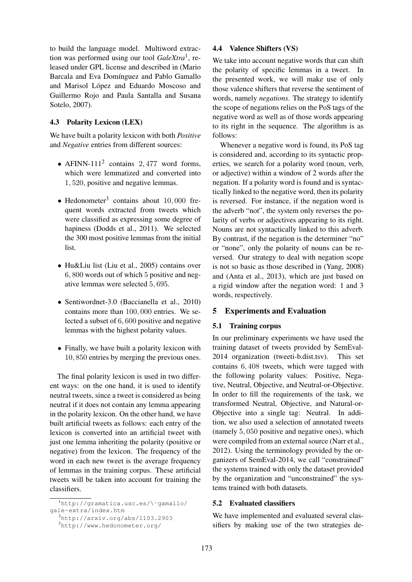to build the language model. Multiword extraction was performed using our tool *GaleXtra*<sup>1</sup> , released under GPL license and described in (Mario Barcala and Eva Domínguez and Pablo Gamallo and Marisol López and Eduardo Moscoso and Guillermo Rojo and Paula Santalla and Susana Sotelo, 2007).

### 4.3 Polarity Lexicon (LEX)

We have built a polarity lexicon with both *Positive* and *Negative* entries from different sources:

- AFINN-111<sup>2</sup> contains 2,477 word forms, which were lemmatized and converted into 1, 520, positive and negative lemmas.
- Hedonometer<sup>3</sup> contains about  $10,000$  frequent words extracted from tweets which were classified as expressing some degree of hapiness (Dodds et al., 2011). We selected the 300 most positive lemmas from the initial list.
- Hu&Liu list (Liu et al., 2005) contains over 6, 800 words out of which 5 positive and negative lemmas were selected 5, 695.
- Sentiwordnet-3.0 (Baccianella et al., 2010) contains more than 100, 000 entries. We selected a subset of 6, 600 positive and negative lemmas with the highest polarity values.
- Finally, we have built a polarity lexicon with 10, 850 entries by merging the previous ones.

The final polarity lexicon is used in two different ways: on the one hand, it is used to identify neutral tweets, since a tweet is considered as being neutral if it does not contain any lemma appearing in the polarity lexicon. On the other hand, we have built artificial tweets as follows: each entry of the lexicon is converted into an artificial tweet with just one lemma inheriting the polarity (positive or negative) from the lexicon. The frequency of the word in each new tweet is the average frequency of lemmas in the training corpus. These artificial tweets will be taken into account for training the classifiers.

# 4.4 Valence Shifters (VS)

We take into account negative words that can shift the polarity of specific lemmas in a tweet. In the presented work, we will make use of only those valence shifters that reverse the sentiment of words, namely *negations*. The strategy to identify the scope of negations relies on the PoS tags of the negative word as well as of those words appearing to its right in the sequence. The algorithm is as follows:

Whenever a negative word is found, its PoS tag is considered and, according to its syntactic properties, we search for a polarity word (noun, verb, or adjective) within a window of 2 words after the negation. If a polarity word is found and is syntactically linked to the negative word, then its polarity is reversed. For instance, if the negation word is the adverb "not", the system only reverses the polarity of verbs or adjectives appearing to its right. Nouns are not syntactically linked to this adverb. By contrast, if the negation is the determiner "no" or "none", only the polarity of nouns can be reversed. Our strategy to deal with negation scope is not so basic as those described in (Yang, 2008) and (Anta et al., 2013), which are just based on a rigid window after the negation word: 1 and 3 words, respectively.

## 5 Experiments and Evaluation

#### 5.1 Training corpus

In our preliminary experiments we have used the training dataset of tweets provided by SemEval-2014 organization (tweeti-b.dist.tsv). This set contains 6, 408 tweets, which were tagged with the following polarity values: Positive, Negative, Neutral, Objective, and Neutral-or-Objective. In order to fill the requirements of the task, we transformed Neutral, Objective, and Natural-or-Objective into a single tag: Neutral. In addition, we also used a selection of annotated tweets (namely 5, 050 positive and negative ones), which were compiled from an external source (Narr et al., 2012). Using the terminology provided by the organizers of SemEval-2014, we call "constrained" the systems trained with only the dataset provided by the organization and "unconstrained" the systems trained with both datasets.

## 5.2 Evaluated classifiers

We have implemented and evaluated several classifiers by making use of the two strategies de-

<sup>1</sup>http://gramatica.usc.es/\˜gamallo/ gale-extra/index.htm

 $<sup>2</sup>$ http://arxiv.org/abs/1103.2903</sup>

<sup>3</sup>http://www.hedonometer.org/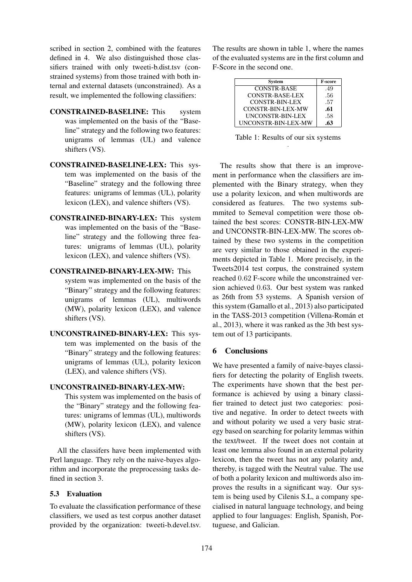scribed in section 2, combined with the features defined in 4. We also distinguished those classifiers trained with only tweeti-b.dist.tsv (constrained systems) from those trained with both internal and external datasets (unconstrained). As a result, we implemented the following classifiers:

- CONSTRAINED-BASELINE: This system was implemented on the basis of the "Baseline" strategy and the following two features: unigrams of lemmas (UL) and valence shifters (VS).
- CONSTRAINED-BASELINE-LEX: This system was implemented on the basis of the "Baseline" strategy and the following three features: unigrams of lemmas (UL), polarity lexicon (LEX), and valence shifters (VS).
- CONSTRAINED-BINARY-LEX: This system was implemented on the basis of the "Baseline" strategy and the following three features: unigrams of lemmas (UL), polarity lexicon (LEX), and valence shifters (VS).
- CONSTRAINED-BINARY-LEX-MW: This system was implemented on the basis of the "Binary" strategy and the following features: unigrams of lemmas (UL), multiwords (MW), polarity lexicon (LEX), and valence shifters (VS).
- UNCONSTRAINED-BINARY-LEX: This system was implemented on the basis of the "Binary" strategy and the following features: unigrams of lemmas (UL), polarity lexicon (LEX), and valence shifters (VS).

#### UNCONSTRAINED-BINARY-LEX-MW:

This system was implemented on the basis of the "Binary" strategy and the following features: unigrams of lemmas (UL), multiwords (MW), polarity lexicon (LEX), and valence shifters (VS).

All the classifers have been implemented with Perl language. They rely on the naive-bayes algorithm and incorporate the preprocessing tasks defined in section 3.

## 5.3 Evaluation

To evaluate the classification performance of these classifiers, we used as test corpus another dataset provided by the organization: tweeti-b.devel.tsv. The results are shown in table 1, where the names of the evaluated systems are in the first column and F-Score in the second one.

| <b>System</b>            | <b>F-score</b> |
|--------------------------|----------------|
| <b>CONSTR-BASE</b>       | .49            |
| <b>CONSTR-BASE-LEX</b>   | .56            |
| <b>CONSTR-BIN-LEX</b>    | .57            |
| <b>CONSTR-BIN-LEX-MW</b> | .61            |
| UNCONSTR-BIN-LEX         | .58            |
| UNCONSTR-BIN-LEX-MW      | .63            |

Table 1: Results of our six systems .

The results show that there is an improvement in performance when the classifiers are implemented with the Binary strategy, when they use a polarity lexicon, and when multiwords are considered as features. The two systems submmited to Semeval competition were those obtained the best scores: CONSTR-BIN-LEX-MW and UNCONSTR-BIN-LEX-MW. The scores obtained by these two systems in the competition are very similar to those obtained in the experiments depicted in Table 1. More precisely, in the Tweets2014 test corpus, the constrained system reached 0.62 F-score while the unconstrained version achieved 0.63. Our best system was ranked as 26th from 53 systems. A Spanish version of this system (Gamallo et al., 2013) also participated in the TASS-2013 competition (Villena-Román et al., 2013), where it was ranked as the 3th best system out of 13 participants.

## 6 Conclusions

We have presented a family of naive-bayes classifiers for detecting the polarity of English tweets. The experiments have shown that the best performance is achieved by using a binary classifier trained to detect just two categories: positive and negative. In order to detect tweets with and without polarity we used a very basic strategy based on searching for polarity lemmas within the text/tweet. If the tweet does not contain at least one lemma also found in an external polarity lexicon, then the tweet has not any polarity and, thereby, is tagged with the Neutral value. The use of both a polarity lexicon and multiwords also improves the results in a significant way. Our system is being used by Cilenis S.L, a company specialised in natural language technology, and being applied to four languages: English, Spanish, Portuguese, and Galician.